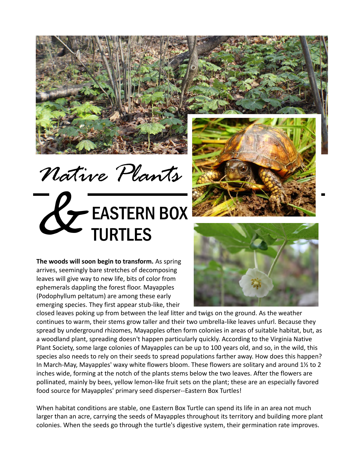

*Native Plants*

## EASTERN BOX TURTLES &

**The woods will soon begin to transform.** As spring arrives, seemingly bare stretches of decomposing leaves will give way to new life, bits of color from ephemerals dappling the forest floor. Mayapples (Podophyllum peltatum) are among these early emerging species. They first appear stub-like, their





closed leaves poking up from between the leaf litter and twigs on the ground. As the weather continues to warm, their stems grow taller and their two umbrella-like leaves unfurl. Because they spread by underground rhizomes, Mayapples often form colonies in areas of suitable habitat, but, as a woodland plant, spreading doesn't happen particularly quickly. According to the Virginia Native Plant Society, some large colonies of Mayapples can be up to 100 years old, and so, in the wild, this species also needs to rely on their seeds to spread populations farther away. How does this happen? In March-May, Mayapples' waxy white flowers bloom. These flowers are solitary and around 1½ to 2 inches wide, forming at the notch of the plants stems below the two leaves. After the flowers are pollinated, mainly by bees, yellow lemon-like fruit sets on the plant; these are an especially favored food source for Mayapples' primary seed disperser--Eastern Box Turtles!

When habitat conditions are stable, one Eastern Box Turtle can spend its life in an area not much larger than an acre, carrying the seeds of Mayapples throughout its territory and building more plant colonies. When the seeds go through the turtle's digestive system, their germination rate improves.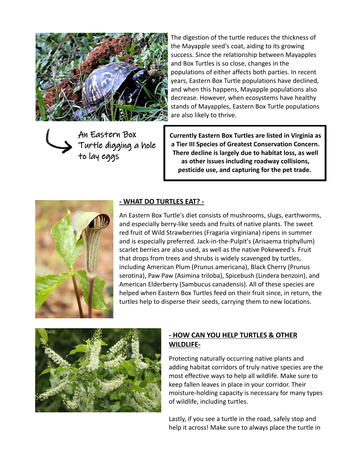

The digestion of the turtle reduces the thickness of the Mayapple seed's coat, aiding to its growing success. Since the relationship between Mayapples and Box Turtles is so close, changes in the populations of either affects both parties. In recent years, Eastern Box Turtle populations have declined, and when this happens, Mayapple populations also decrease. However, when ecosystems have healthy stands of Mayapples, Eastern Box Turtle populations are also likely to thrive.

An Eastern Box Turtle digging a hole to lay eggs

**Currently Eastern Box Turtles are listed in Virginia as a Tier III Species of Greatest Conservation Concern. There decline is largely due to habitat loss, as well as other issues including roadway collisions, pesticide use, and capturing for the pet trade.** 



## **- WHAT DO TURTLES EAT? -**

An Eastern Box Turtle's diet consists of mushrooms, slugs, earthworms, and especially berry-like seeds and fruits of native plants. The sweet red fruit of Wild Strawberries (Fragaria virginiana) ripens in summer and is especially preferred. Jack-in-the-Pulpit's (Arisaema triphyllum) scarlet berries are also used, as well as the native Pokeweed's. Fruit that drops from trees and shrubs is widely scavenged by turtles, including American Plum (Prunus americana), Black Cherry (Prunus serotina), Paw Paw (Asimina triloba), Spicebush (Lindera benzoin), and American Elderberry (Sambucus canadensis). All of these species are helped when Eastern Box Turtles feed on their fruit since, in return, the turtles help to disperse their seeds, carrying them to new locations.



## **- HOW CAN YOU HELP TURTLES & OTHER WILDLIFE-**

Protecting naturally occurring native plants and adding habitat corridors of truly native species are the most effective ways to help all wildlife. Make sure to keep fallen leaves in place in your corridor. Their moisture-holding capacity is necessary for many types of wildlife, including turtles.

Lastly, if you see a turtle in the road, safely stop and help it across! Make sure to always place the turtle in